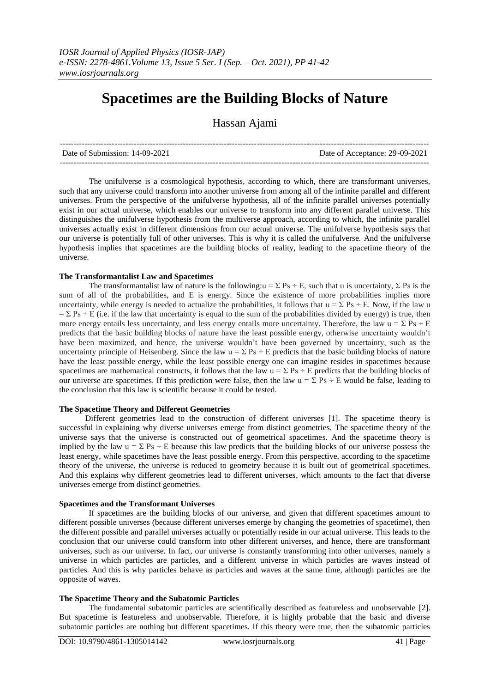# **Spacetimes are the Building Blocks of Nature**

Hassan Ajami

| Date of Submission: 14-09-2021 | Date of Acceptance: 29-09-2021 |
|--------------------------------|--------------------------------|
|                                |                                |

The unifulverse is a cosmological hypothesis, according to which, there are transformant universes, such that any universe could transform into another universe from among all of the infinite parallel and different universes. From the perspective of the unifulverse hypothesis, all of the infinite parallel universes potentially exist in our actual universe, which enables our universe to transform into any different parallel universe. This distinguishes the unifulverse hypothesis from the multiverse approach, according to which, the infinite parallel universes actually exist in different dimensions from our actual universe. The unifulverse hypothesis says that our universe is potentially full of other universes. This is why it is called the unifulverse. And the unifulverse hypothesis implies that spacetimes are the building blocks of reality, leading to the spacetime theory of the universe.

#### **The Transformantalist Law and Spacetimes**

The transformantalist law of nature is the following:u =  $\Sigma$  Ps ÷ E, such that u is uncertainty,  $\Sigma$  Ps is the sum of all of the probabilities, and E is energy. Since the existence of more probabilities implies more uncertainty, while energy is needed to actualize the probabilities, it follows that  $u = \sum Ps = E$ . Now, if the law u  $=\Sigma$  Ps ÷ E (i.e. if the law that uncertainty is equal to the sum of the probabilities divided by energy) is true, then more energy entails less uncertainty, and less energy entails more uncertainty. Therefore, the law  $u = \Sigma Ps \div E$ predicts that the basic building blocks of nature have the least possible energy, otherwise uncertainty wouldn't have been maximized, and hence, the universe wouldn't have been governed by uncertainty, such as the uncertainty principle of Heisenberg. Since the law  $u = \sum Ps \div E$  predicts that the basic building blocks of nature have the least possible energy, while the least possible energy one can imagine resides in spacetimes because spacetimes are mathematical constructs, it follows that the law  $u = \Sigma Ps \div E$  predicts that the building blocks of our universe are spacetimes. If this prediction were false, then the law  $u = \sum Ps \div E$  would be false, leading to the conclusion that this law is scientific because it could be tested.

## **The Spacetime Theory and Different Geometries**

Different geometries lead to the construction of different universes [1]. The spacetime theory is successful in explaining why diverse universes emerge from distinct geometries. The spacetime theory of the universe says that the universe is constructed out of geometrical spacetimes. And the spacetime theory is implied by the law  $u = \sum Ps \div E$  because this law predicts that the building blocks of our universe possess the least energy, while spacetimes have the least possible energy. From this perspective, according to the spacetime theory of the universe, the universe is reduced to geometry because it is built out of geometrical spacetimes. And this explains why different geometries lead to different universes, which amounts to the fact that diverse universes emerge from distinct geometries.

## **Spacetimes and the Transformant Universes**

If spacetimes are the building blocks of our universe, and given that different spacetimes amount to different possible universes (because different universes emerge by changing the geometries of spacetime), then the different possible and parallel universes actually or potentially reside in our actual universe. This leads to the conclusion that our universe could transform into other different universes, and hence, there are transformant universes, such as our universe. In fact, our universe is constantly transforming into other universes, namely a universe in which particles are particles, and a different universe in which particles are waves instead of particles. And this is why particles behave as particles and waves at the same time, although particles are the opposite of waves.

## **The Spacetime Theory and the Subatomic Particles**

The fundamental subatomic particles are scientifically described as featureless and unobservable [2]. But spacetime is featureless and unobservable. Therefore, it is highly probable that the basic and diverse subatomic particles are nothing but different spacetimes. If this theory were true, then the subatomic particles